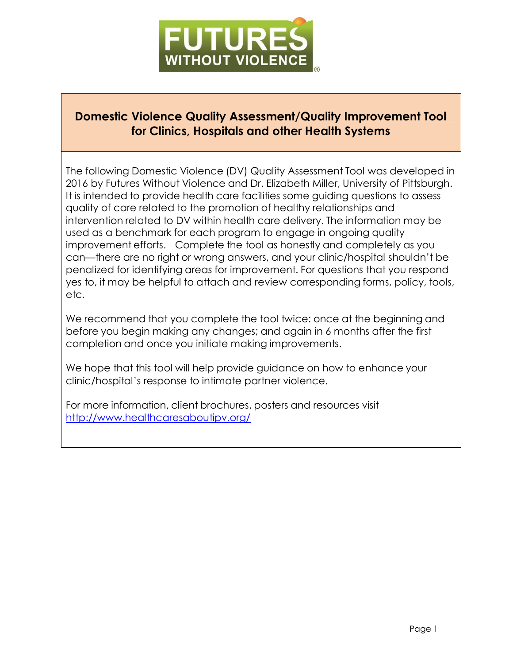

# **Domestic Violence Quality Assessment/Quality Improvement Tool for Clinics, Hospitals and other Health Systems**

The following Domestic Violence (DV) Quality Assessment Tool was developed in 2016 by Futures Without Violence and Dr. Elizabeth Miller, University of Pittsburgh. It is intended to provide health care facilities some guiding questions to assess quality of care related to the promotion of healthy relationships and intervention related to DV within health care delivery. The information may be used as a benchmark for each program to engage in ongoing quality improvement efforts. Complete the tool as honestly and completely as you can—there are no right or wrong answers, and your clinic/hospital shouldn't be penalized for identifying areas for improvement. For questions that you respond yes to, it may be helpful to attach and review corresponding forms, policy, tools, etc.

We recommend that you complete the tool twice: once at the beginning and before you begin making any changes; and again in 6 months after the first completion and once you initiate making improvements.

We hope that this tool will help provide guidance on how to enhance your clinic/hospital's response to intimate partner violence.

For more information, client brochures, posters and resources visit <http://www.healthcaresaboutipv.org/>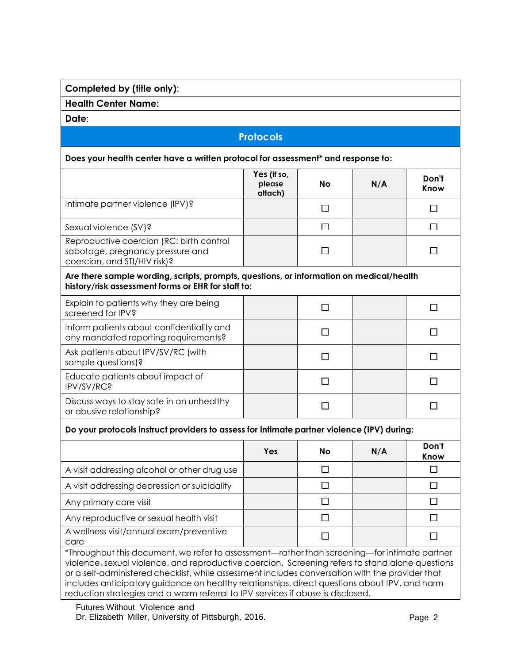## **Completed by (title only)**:

**Health Center Name:**

**Date**:

# **Protocols**

## **Does your health center have a written protocol for assessment\* and response to:**

|                                                                                                                                                                                                                                                                                                                                                                                                                                                                                        | Yes (if so,<br>please<br>attach) | No        | N/A | Don't<br>Know |  |
|----------------------------------------------------------------------------------------------------------------------------------------------------------------------------------------------------------------------------------------------------------------------------------------------------------------------------------------------------------------------------------------------------------------------------------------------------------------------------------------|----------------------------------|-----------|-----|---------------|--|
| Intimate partner violence (IPV)?                                                                                                                                                                                                                                                                                                                                                                                                                                                       |                                  | $\Box$    |     | П             |  |
| Sexual violence (SV)?                                                                                                                                                                                                                                                                                                                                                                                                                                                                  |                                  | $\Box$    |     | П             |  |
| Reproductive coercion (RC: birth control<br>sabotage, pregnancy pressure and<br>coercion, and STI/HIV risk)?                                                                                                                                                                                                                                                                                                                                                                           |                                  | П         |     | $\mathbf{I}$  |  |
| Are there sample wording, scripts, prompts, questions, or information on medical/health<br>history/risk assessment forms or EHR for staff to:                                                                                                                                                                                                                                                                                                                                          |                                  |           |     |               |  |
| Explain to patients why they are being<br>screened for IPV?                                                                                                                                                                                                                                                                                                                                                                                                                            |                                  | $\Box$    |     | П             |  |
| Inform patients about confidentiality and<br>any mandated reporting requirements?                                                                                                                                                                                                                                                                                                                                                                                                      |                                  | $\Box$    |     | П             |  |
| Ask patients about IPV/SV/RC (with<br>sample questions)?                                                                                                                                                                                                                                                                                                                                                                                                                               |                                  | П         |     | П             |  |
| Educate patients about impact of<br>IPV/SV/RC?                                                                                                                                                                                                                                                                                                                                                                                                                                         |                                  | □         |     | П             |  |
| Discuss ways to stay safe in an unhealthy<br>or abusive relationship?                                                                                                                                                                                                                                                                                                                                                                                                                  |                                  | П         |     | П             |  |
| Do your protocols instruct providers to assess for intimate partner violence (IPV) during:                                                                                                                                                                                                                                                                                                                                                                                             |                                  |           |     |               |  |
|                                                                                                                                                                                                                                                                                                                                                                                                                                                                                        | Yes                              | <b>No</b> | N/A | Don't<br>Know |  |
| A visit addressing alcohol or other drug use                                                                                                                                                                                                                                                                                                                                                                                                                                           |                                  | $\Box$    |     | $\Box$        |  |
| A visit addressing depression or suicidality                                                                                                                                                                                                                                                                                                                                                                                                                                           |                                  | $\Box$    |     | П             |  |
| Any primary care visit                                                                                                                                                                                                                                                                                                                                                                                                                                                                 |                                  | $\Box$    |     | $\Box$        |  |
| Any reproductive or sexual health visit                                                                                                                                                                                                                                                                                                                                                                                                                                                |                                  | □         |     | П             |  |
| A wellness visit/annual exam/preventive<br>care                                                                                                                                                                                                                                                                                                                                                                                                                                        |                                  | П         |     | П             |  |
| *Throughout this document, we refer to assessment—rather than screening—for intimate partner<br>violence, sexual violence, and reproductive coercion. Screening refers to stand alone questions<br>or a self-administered checklist, while assessment includes conversation with the provider that<br>includes anticipatory guidance on healthy relationships, direct questions about IPV, and harm<br>reduction strategies and a warm referral to IPV services if abuse is disclosed. |                                  |           |     |               |  |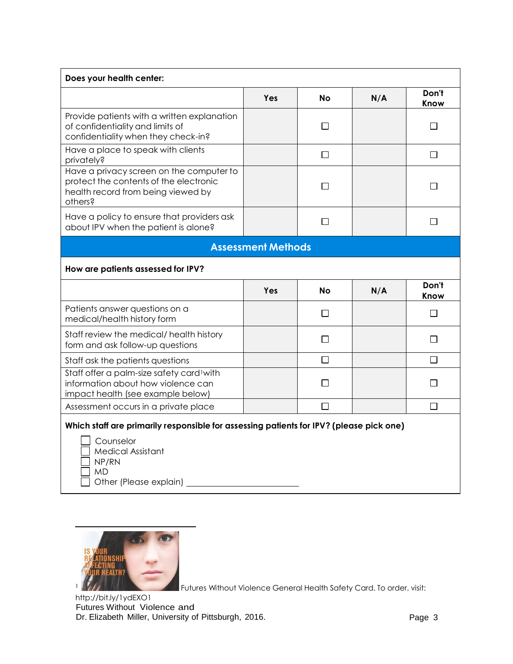| Does your health center:                                                                                                            |                           |           |     |               |  |  |
|-------------------------------------------------------------------------------------------------------------------------------------|---------------------------|-----------|-----|---------------|--|--|
|                                                                                                                                     | Yes                       | No        | N/A | Don't<br>Know |  |  |
| Provide patients with a written explanation<br>of confidentiality and limits of<br>confidentiality when they check-in?              |                           | П         |     | $\mathsf{L}$  |  |  |
| Have a place to speak with clients<br>privately?                                                                                    |                           | $\Box$    |     | $\Box$        |  |  |
| Have a privacy screen on the computer to<br>protect the contents of the electronic<br>health record from being viewed by<br>others? |                           | П         |     | $\Box$        |  |  |
| Have a policy to ensure that providers ask<br>about IPV when the patient is alone?                                                  |                           | П         |     | П             |  |  |
|                                                                                                                                     | <b>Assessment Methods</b> |           |     |               |  |  |
| How are patients assessed for IPV?                                                                                                  |                           |           |     |               |  |  |
|                                                                                                                                     | Yes                       | <b>No</b> | N/A | Don't<br>Know |  |  |
| Patients answer questions on a<br>medical/health history form                                                                       |                           | □         |     | П             |  |  |
| Staff review the medical/ health history                                                                                            |                           |           |     |               |  |  |
| form and ask follow-up questions                                                                                                    |                           | П         |     | П             |  |  |
| Staff ask the patients questions                                                                                                    |                           | $\Box$    |     | П             |  |  |
| Staff offer a palm-size safety card <sup>1</sup> with<br>information about how violence can<br>impact health (see example below)    |                           | П         |     | П             |  |  |
| Assessment occurs in a private place                                                                                                |                           | ┐         |     | П             |  |  |





Futures Without Violence General Health Safety Card. To order, visit:

Futures Without Violence and Dr. Elizabeth Miller, University of Pittsburgh, 2016. No and the state of Page 3 <http://bit.ly/1ydEXO1>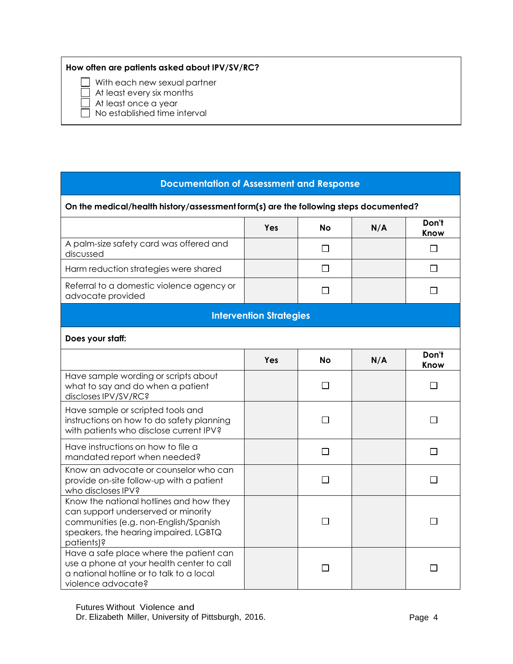#### **How often are patients asked about IPV/SV/RC?**

With each new sexual partner

At least every six months

At least once a year

No established time interval

### **Documentation of Assessment and Response**

#### **On the medical/health history/assessment form(s) are the following steps documented? Don't Yes No N/A Know** A palm-size safety card was offered and  $\Box$  $\Box$ discussed  $\Box$  $\Box$ Harm reduction strategies were shared Referral to a domestic violence agency or  $\Box$  $\Box$ advocate provided **Intervention Strategies Does your staff: Don't** Yes | No | N/A **Know** Have sample wording or scripts about  $\Box$ what to say and do when a patient  $\Box$ discloses IPV/SV/RC? Have sample or scripted tools and  $\Box$  $\Box$ instructions on how to do safety planning with patients who disclose current IPV? Have instructions on how to file a  $\Box$  $\Box$ mandated report when needed? Know an advocate or counselor who can  $\Box$  $\Box$ provide on-site follow-up with a patient who discloses IPV? Know the national hotlines and how they can support underserved or minority  $\Box$  $\Box$ communities (e.g. non-English/Spanish speakers, the hearing impaired, LGBTQ patients)? Have a safe place where the patient can use a phone at your health center to call  $\Box$  $\Box$ a national hotline or to talk to a local violence advocate?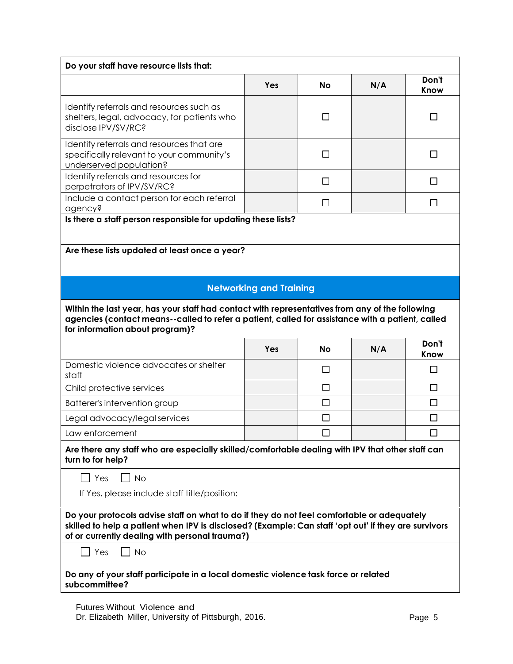| Do your staff have resource lists that:                                                                                                                                                                                                              |                                                                                                  |           |     |               |  |
|------------------------------------------------------------------------------------------------------------------------------------------------------------------------------------------------------------------------------------------------------|--------------------------------------------------------------------------------------------------|-----------|-----|---------------|--|
|                                                                                                                                                                                                                                                      | Yes                                                                                              | No        | N/A | Don't<br>Know |  |
| Identify referrals and resources such as<br>shelters, legal, advocacy, for patients who<br>disclose IPV/SV/RC?                                                                                                                                       |                                                                                                  | П         |     | П             |  |
| Identify referrals and resources that are<br>specifically relevant to your community's<br>underserved population?                                                                                                                                    |                                                                                                  | $\perp$   |     | $\mathsf{L}$  |  |
| Identify referrals and resources for<br>perpetrators of IPV/SV/RC?                                                                                                                                                                                   |                                                                                                  | $\Box$    |     | $\perp$       |  |
| Include a contact person for each referral<br>agency?                                                                                                                                                                                                |                                                                                                  | П         |     | $\perp$       |  |
| Is there a staff person responsible for updating these lists?                                                                                                                                                                                        |                                                                                                  |           |     |               |  |
| Are these lists updated at least once a year?                                                                                                                                                                                                        |                                                                                                  |           |     |               |  |
|                                                                                                                                                                                                                                                      |                                                                                                  |           |     |               |  |
|                                                                                                                                                                                                                                                      | <b>Networking and Training</b>                                                                   |           |     |               |  |
| Within the last year, has your staff had contact with representatives from any of the following<br>agencies (contact means--called to refer a patient, called for assistance with a patient, called<br>for information about program)?               |                                                                                                  |           |     |               |  |
|                                                                                                                                                                                                                                                      | Yes                                                                                              | <b>No</b> | N/A | Don't<br>Know |  |
| Domestic violence advocates or shelter<br>staff                                                                                                                                                                                                      |                                                                                                  | $\Box$    |     | П             |  |
| Child protective services                                                                                                                                                                                                                            |                                                                                                  | $\Box$    |     | $\Box$        |  |
| Batterer's intervention group                                                                                                                                                                                                                        |                                                                                                  | $\Box$    |     | $\Box$        |  |
| Legal advocacy/legal services                                                                                                                                                                                                                        |                                                                                                  | □         |     | $\Box$        |  |
| Law enforcement                                                                                                                                                                                                                                      |                                                                                                  | $\Box$    |     | $\Box$        |  |
| turn to for help?                                                                                                                                                                                                                                    | Are there any staff who are especially skilled/comfortable dealing with IPV that other staff can |           |     |               |  |
| $\Box$ Yes<br><b>No</b>                                                                                                                                                                                                                              |                                                                                                  |           |     |               |  |
| If Yes, please include staff title/position:                                                                                                                                                                                                         |                                                                                                  |           |     |               |  |
| Do your protocols advise staff on what to do if they do not feel comfortable or adequately<br>skilled to help a patient when IPV is disclosed? (Example: Can staff 'opt out' if they are survivors<br>of or currently dealing with personal trauma?) |                                                                                                  |           |     |               |  |
| $\overline{\phantom{a}}$ Yes<br><b>No</b>                                                                                                                                                                                                            |                                                                                                  |           |     |               |  |
| Do any of your staff participate in a local domestic violence task force or related<br>subcommittee?                                                                                                                                                 |                                                                                                  |           |     |               |  |

Futures Without Violence and Dr. Elizabeth Miller, University of Pittsburgh, 2016. Physical Communications of Page 5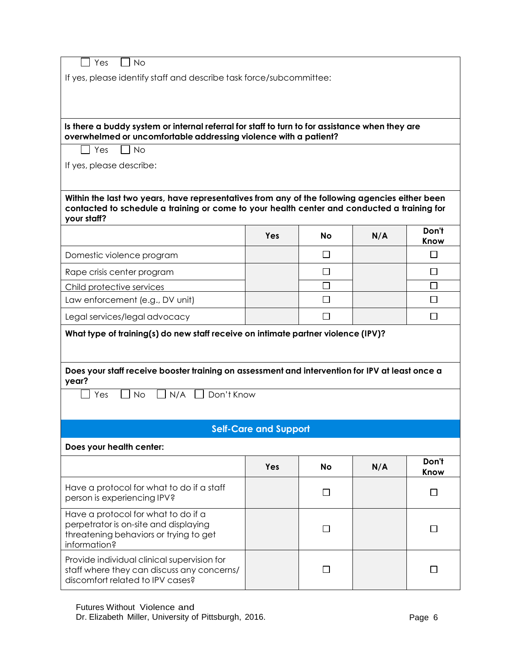| Yes<br><b>No</b>                                                                                                                                                                                             |     |              |     |               |  |
|--------------------------------------------------------------------------------------------------------------------------------------------------------------------------------------------------------------|-----|--------------|-----|---------------|--|
| If yes, please identify staff and describe task force/subcommittee:                                                                                                                                          |     |              |     |               |  |
|                                                                                                                                                                                                              |     |              |     |               |  |
|                                                                                                                                                                                                              |     |              |     |               |  |
| Is there a buddy system or internal referral for staff to turn to for assistance when they are                                                                                                               |     |              |     |               |  |
| overwhelmed or uncomfortable addressing violence with a patient?                                                                                                                                             |     |              |     |               |  |
| Yes<br><b>No</b>                                                                                                                                                                                             |     |              |     |               |  |
| If yes, please describe:                                                                                                                                                                                     |     |              |     |               |  |
|                                                                                                                                                                                                              |     |              |     |               |  |
|                                                                                                                                                                                                              |     |              |     |               |  |
| Within the last two years, have representatives from any of the following agencies either been<br>contacted to schedule a training or come to your health center and conducted a training for<br>your staff? |     |              |     |               |  |
|                                                                                                                                                                                                              | Yes | <b>No</b>    | N/A | Don't<br>Know |  |
| Domestic violence program                                                                                                                                                                                    |     | $\Box$       |     | □             |  |
| Rape crisis center program                                                                                                                                                                                   |     | l 1          |     | ΙI            |  |
| Child protective services                                                                                                                                                                                    |     |              |     | $\Box$        |  |
| Law enforcement (e.g., DV unit)                                                                                                                                                                              |     | □            |     | □             |  |
| Legal services/legal advocacy                                                                                                                                                                                |     | $\mathsf{L}$ |     | $\perp$       |  |
| What type of training(s) do new staff receive on intimate partner violence (IPV)?                                                                                                                            |     |              |     |               |  |
| Does your staff receive booster training on assessment and intervention for IPV at least once a<br>year?                                                                                                     |     |              |     |               |  |
| Don't Know<br>$\Box$ N/A $\Box$<br>Yes<br><b>No</b>                                                                                                                                                          |     |              |     |               |  |
|                                                                                                                                                                                                              |     |              |     |               |  |
|                                                                                                                                                                                                              |     |              |     |               |  |
| <b>Self-Care and Support</b><br>Does your health center:                                                                                                                                                     |     |              |     |               |  |
|                                                                                                                                                                                                              |     |              |     | Don't         |  |
|                                                                                                                                                                                                              | Yes | No           | N/A | Know          |  |
| Have a protocol for what to do if a staff<br>person is experiencing IPV?                                                                                                                                     |     | $\Box$       |     | $\Box$        |  |
| Have a protocol for what to do if a<br>perpetrator is on-site and displaying<br>threatening behaviors or trying to get<br>information?                                                                       |     | $\perp$      |     | $\perp$       |  |
| Provide individual clinical supervision for<br>staff where they can discuss any concerns/<br>discomfort related to IPV cases?                                                                                |     | П            |     | $\mathsf{L}$  |  |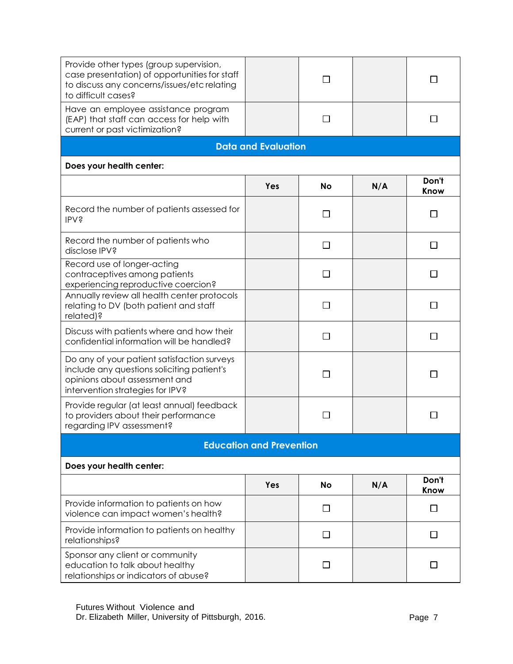| Provide other types (group supervision,<br>case presentation) of opportunities for staff<br>to discuss any concerns/issues/etc relating<br>to difficult cases? |                            |              |     |               |  |
|----------------------------------------------------------------------------------------------------------------------------------------------------------------|----------------------------|--------------|-----|---------------|--|
| Have an employee assistance program<br>(EAP) that staff can access for help with<br>current or past victimization?                                             |                            | $\Box$       |     | ΙI            |  |
|                                                                                                                                                                | <b>Data and Evaluation</b> |              |     |               |  |
| Does your health center:                                                                                                                                       |                            |              |     |               |  |
|                                                                                                                                                                | Yes                        | <b>No</b>    | N/A | Don't<br>Know |  |
| Record the number of patients assessed for<br><b>IPV?</b>                                                                                                      |                            | $\Box$       |     | $\mathsf{L}$  |  |
| Record the number of patients who<br>disclose IPV?                                                                                                             |                            | П            |     | $\mathsf{L}$  |  |
| Record use of longer-acting<br>contraceptives among patients<br>experiencing reproductive coercion?                                                            |                            | $\mathsf{L}$ |     | $\mathbf{I}$  |  |
| Annually review all health center protocols<br>relating to DV (both patient and staff<br>related)?                                                             |                            | П            |     | ΙI            |  |
| Discuss with patients where and how their<br>confidential information will be handled?                                                                         |                            | ٦            |     |               |  |
| Do any of your patient satisfaction surveys<br>include any questions soliciting patient's<br>opinions about assessment and<br>intervention strategies for IPV? |                            | П            |     | $\mathbf{L}$  |  |
| Provide regular (at least annual) feedback<br>to providers about their performance<br>regarding IPV assessment?                                                |                            |              |     |               |  |
| <b>Education and Prevention</b>                                                                                                                                |                            |              |     |               |  |
| Does your health center:                                                                                                                                       |                            |              |     |               |  |
|                                                                                                                                                                | Yes                        | No           | N/A | Don't<br>Know |  |
| Provide information to patients on how<br>violence can impact women's health?                                                                                  |                            | $\perp$      |     | $\mathsf{L}$  |  |
| Provide information to patients on healthy<br>relationships?                                                                                                   |                            | $\perp$      |     | $\mathsf{L}$  |  |
| Sponsor any client or community<br>education to talk about healthy<br>relationships or indicators of abuse?                                                    |                            | l 1          |     |               |  |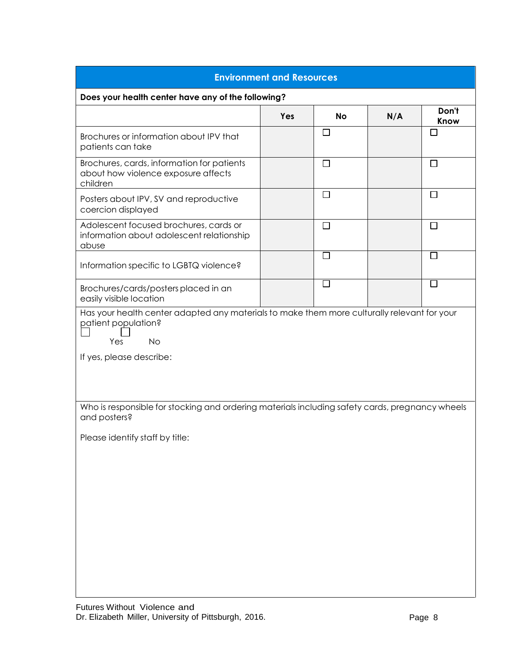| <b>Environment and Resources</b>                                                                                                                                   |     |                             |     |               |  |
|--------------------------------------------------------------------------------------------------------------------------------------------------------------------|-----|-----------------------------|-----|---------------|--|
| Does your health center have any of the following?                                                                                                                 |     |                             |     |               |  |
|                                                                                                                                                                    | Yes | <b>No</b>                   | N/A | Don't<br>Know |  |
| Brochures or information about IPV that<br>patients can take                                                                                                       |     | $\Box$                      |     |               |  |
| Brochures, cards, information for patients<br>about how violence exposure affects<br>children                                                                      |     | $\Box$                      |     | $\Box$        |  |
| Posters about IPV, SV and reproductive<br>coercion displayed                                                                                                       |     | $\Box$                      |     | $\Box$        |  |
| Adolescent focused brochures, cards or<br>information about adolescent relationship<br>abuse                                                                       |     | $\Box$                      |     | U             |  |
| Information specific to LGBTQ violence?                                                                                                                            |     | $\mathcal{L}_{\mathcal{A}}$ |     |               |  |
| Brochures/cards/posters placed in an<br>easily visible location                                                                                                    |     | $\Box$                      |     | $\Box$        |  |
| Has your health center adapted any materials to make them more culturally relevant for your<br>patient population?<br><b>No</b><br>Yes<br>If yes, please describe: |     |                             |     |               |  |
| Who is responsible for stocking and ordering materials including safety cards, pregnancy wheels<br>and posters?                                                    |     |                             |     |               |  |
| Please identify staff by title:                                                                                                                                    |     |                             |     |               |  |